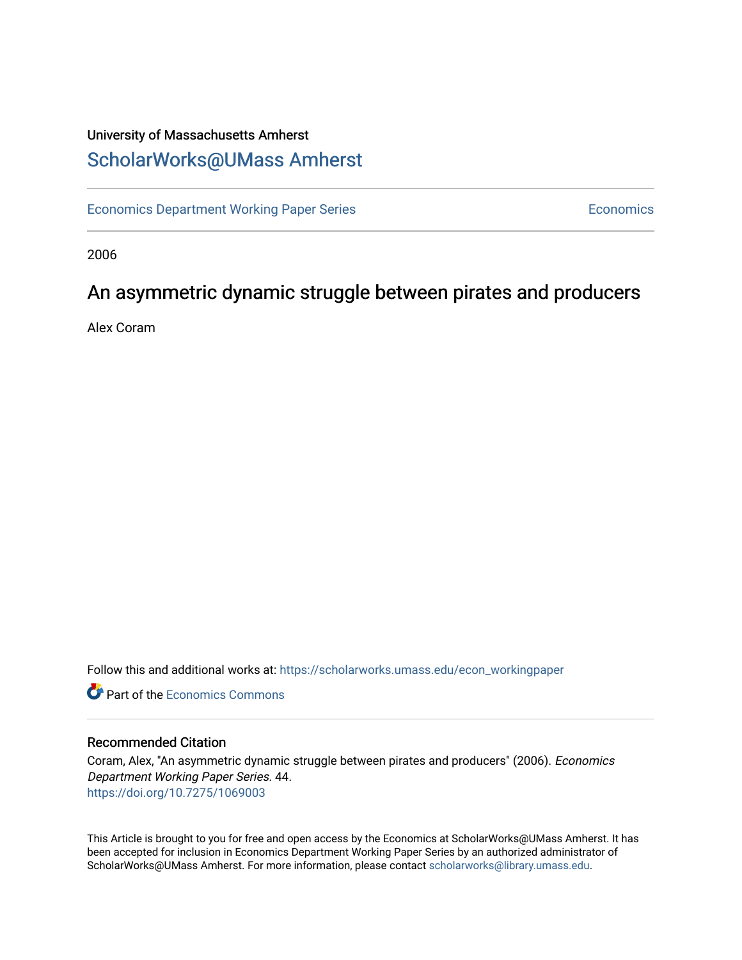### University of Massachusetts Amherst [ScholarWorks@UMass Amherst](https://scholarworks.umass.edu/)

[Economics Department Working Paper Series](https://scholarworks.umass.edu/econ_workingpaper) **Economics** Economics

2006

### An asymmetric dynamic struggle between pirates and producers

Alex Coram

Follow this and additional works at: [https://scholarworks.umass.edu/econ\\_workingpaper](https://scholarworks.umass.edu/econ_workingpaper?utm_source=scholarworks.umass.edu%2Fecon_workingpaper%2F44&utm_medium=PDF&utm_campaign=PDFCoverPages) 

**C** Part of the [Economics Commons](http://network.bepress.com/hgg/discipline/340?utm_source=scholarworks.umass.edu%2Fecon_workingpaper%2F44&utm_medium=PDF&utm_campaign=PDFCoverPages)

#### Recommended Citation

Coram, Alex, "An asymmetric dynamic struggle between pirates and producers" (2006). Economics Department Working Paper Series. 44. <https://doi.org/10.7275/1069003>

This Article is brought to you for free and open access by the Economics at ScholarWorks@UMass Amherst. It has been accepted for inclusion in Economics Department Working Paper Series by an authorized administrator of ScholarWorks@UMass Amherst. For more information, please contact [scholarworks@library.umass.edu.](mailto:scholarworks@library.umass.edu)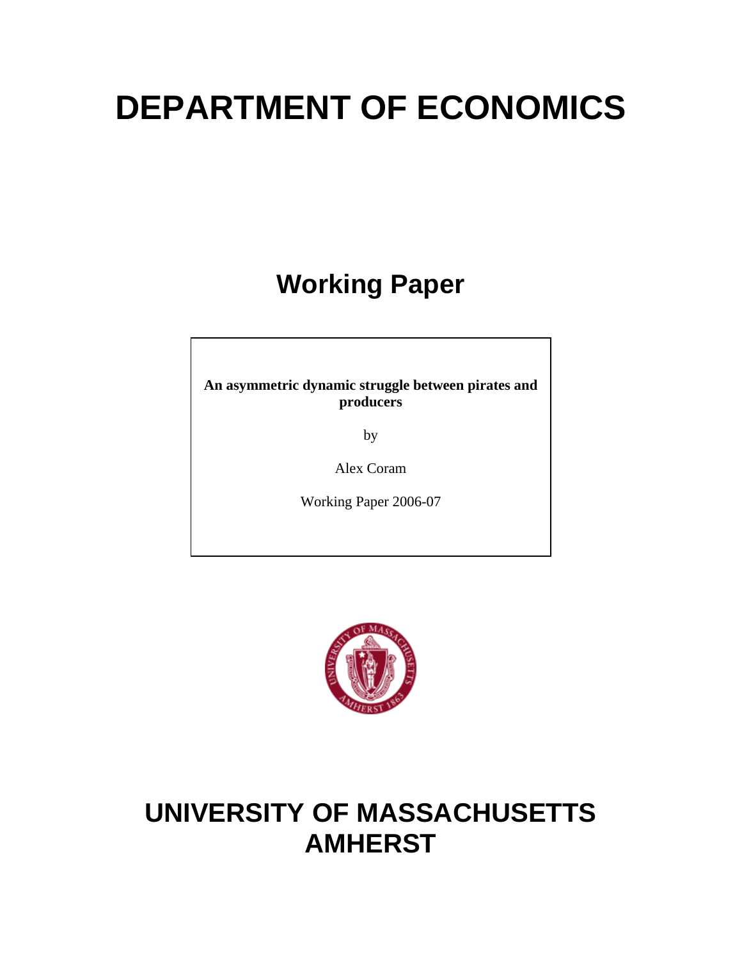# **DEPARTMENT OF ECONOMICS**

# **Working Paper**

**An asymmetric dynamic struggle between pirates and producers** 

by

Alex Coram

Working Paper 2006-07



# **UNIVERSITY OF MASSACHUSETTS AMHERST**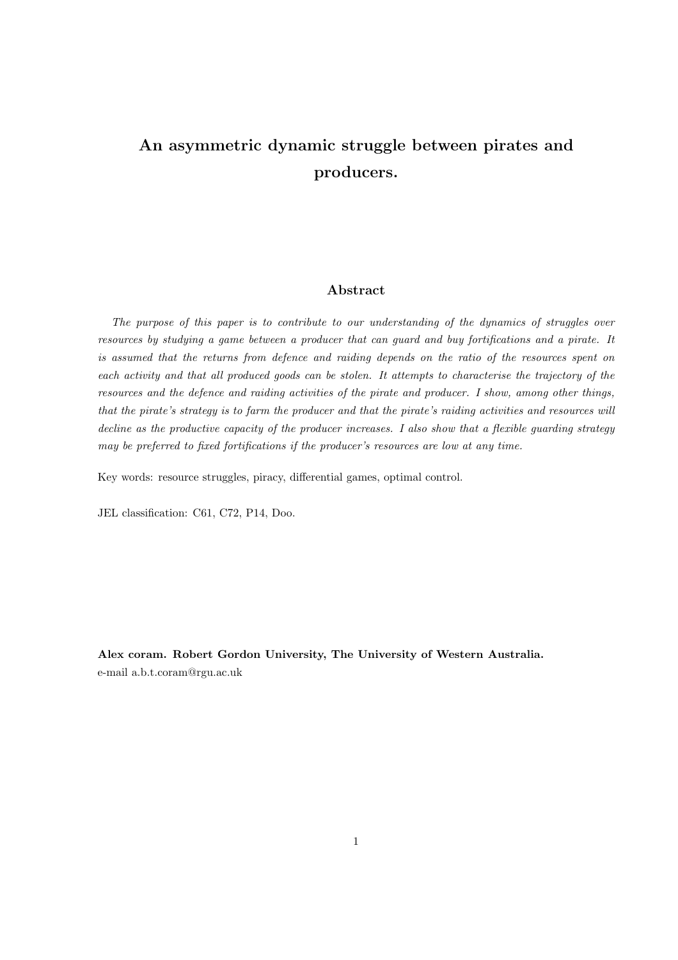# An asymmetric dynamic struggle between pirates and producers.

#### Abstract

The purpose of this paper is to contribute to our understanding of the dynamics of struggles over resources by studying a game between a producer that can guard and buy fortifications and a pirate. It is assumed that the returns from defence and raiding depends on the ratio of the resources spent on each activity and that all produced goods can be stolen. It attempts to characterise the trajectory of the resources and the defence and raiding activities of the pirate and producer. I show, among other things, that the pirate's strategy is to farm the producer and that the pirate's raiding activities and resources will decline as the productive capacity of the producer increases. I also show that a flexible guarding strategy may be preferred to fixed fortifications if the producer's resources are low at any time.

Key words: resource struggles, piracy, differential games, optimal control.

JEL classification: C61, C72, P14, Doo.

Alex coram. Robert Gordon University, The University of Western Australia. e-mail a.b.t.coram@rgu.ac.uk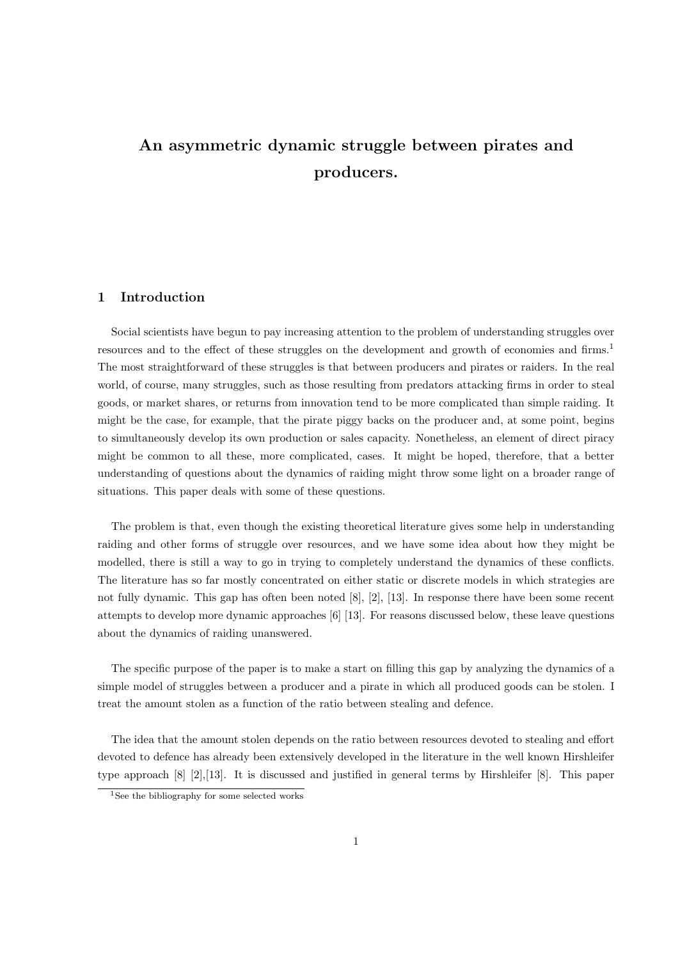# An asymmetric dynamic struggle between pirates and producers.

#### 1 Introduction

Social scientists have begun to pay increasing attention to the problem of understanding struggles over resources and to the effect of these struggles on the development and growth of economies and firms.<sup>1</sup> The most straightforward of these struggles is that between producers and pirates or raiders. In the real world, of course, many struggles, such as those resulting from predators attacking firms in order to steal goods, or market shares, or returns from innovation tend to be more complicated than simple raiding. It might be the case, for example, that the pirate piggy backs on the producer and, at some point, begins to simultaneously develop its own production or sales capacity. Nonetheless, an element of direct piracy might be common to all these, more complicated, cases. It might be hoped, therefore, that a better understanding of questions about the dynamics of raiding might throw some light on a broader range of situations. This paper deals with some of these questions.

The problem is that, even though the existing theoretical literature gives some help in understanding raiding and other forms of struggle over resources, and we have some idea about how they might be modelled, there is still a way to go in trying to completely understand the dynamics of these conflicts. The literature has so far mostly concentrated on either static or discrete models in which strategies are not fully dynamic. This gap has often been noted [8], [2], [13]. In response there have been some recent attempts to develop more dynamic approaches [6] [13]. For reasons discussed below, these leave questions about the dynamics of raiding unanswered.

The specific purpose of the paper is to make a start on filling this gap by analyzing the dynamics of a simple model of struggles between a producer and a pirate in which all produced goods can be stolen. I treat the amount stolen as a function of the ratio between stealing and defence.

The idea that the amount stolen depends on the ratio between resources devoted to stealing and effort devoted to defence has already been extensively developed in the literature in the well known Hirshleifer type approach [8] [2],[13]. It is discussed and justified in general terms by Hirshleifer [8]. This paper

<sup>&</sup>lt;sup>1</sup>See the bibliography for some selected works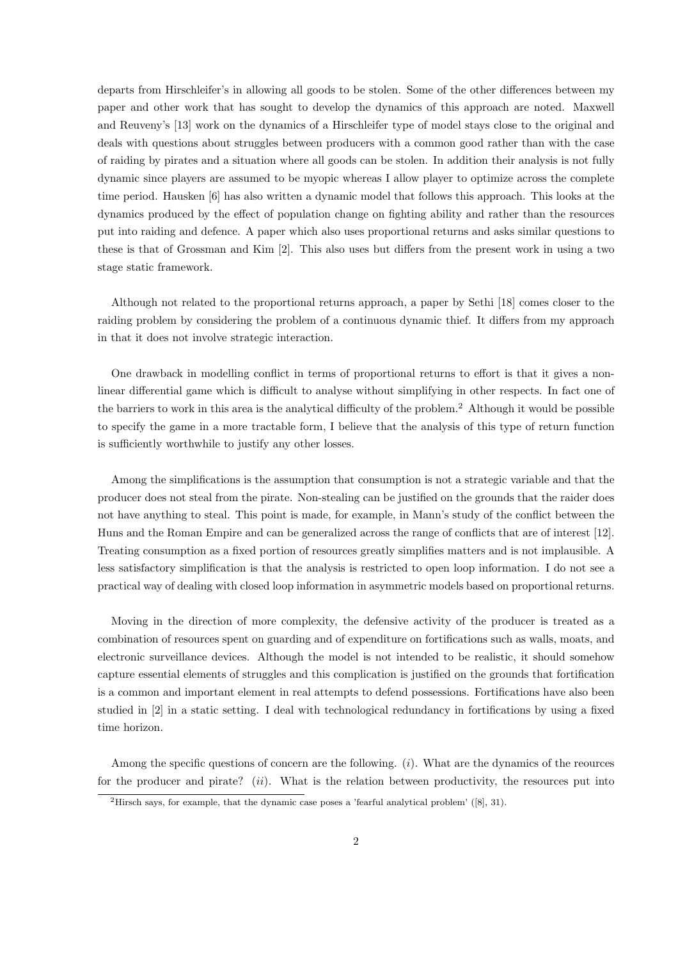departs from Hirschleifer's in allowing all goods to be stolen. Some of the other differences between my paper and other work that has sought to develop the dynamics of this approach are noted. Maxwell and Reuveny's [13] work on the dynamics of a Hirschleifer type of model stays close to the original and deals with questions about struggles between producers with a common good rather than with the case of raiding by pirates and a situation where all goods can be stolen. In addition their analysis is not fully dynamic since players are assumed to be myopic whereas I allow player to optimize across the complete time period. Hausken [6] has also written a dynamic model that follows this approach. This looks at the dynamics produced by the effect of population change on fighting ability and rather than the resources put into raiding and defence. A paper which also uses proportional returns and asks similar questions to these is that of Grossman and Kim [2]. This also uses but differs from the present work in using a two stage static framework.

Although not related to the proportional returns approach, a paper by Sethi [18] comes closer to the raiding problem by considering the problem of a continuous dynamic thief. It differs from my approach in that it does not involve strategic interaction.

One drawback in modelling conflict in terms of proportional returns to effort is that it gives a nonlinear differential game which is difficult to analyse without simplifying in other respects. In fact one of the barriers to work in this area is the analytical difficulty of the problem.<sup>2</sup> Although it would be possible to specify the game in a more tractable form, I believe that the analysis of this type of return function is sufficiently worthwhile to justify any other losses.

Among the simplifications is the assumption that consumption is not a strategic variable and that the producer does not steal from the pirate. Non-stealing can be justified on the grounds that the raider does not have anything to steal. This point is made, for example, in Mann's study of the conflict between the Huns and the Roman Empire and can be generalized across the range of conflicts that are of interest [12]. Treating consumption as a fixed portion of resources greatly simplifies matters and is not implausible. A less satisfactory simplification is that the analysis is restricted to open loop information. I do not see a practical way of dealing with closed loop information in asymmetric models based on proportional returns.

Moving in the direction of more complexity, the defensive activity of the producer is treated as a combination of resources spent on guarding and of expenditure on fortifications such as walls, moats, and electronic surveillance devices. Although the model is not intended to be realistic, it should somehow capture essential elements of struggles and this complication is justified on the grounds that fortification is a common and important element in real attempts to defend possessions. Fortifications have also been studied in [2] in a static setting. I deal with technological redundancy in fortifications by using a fixed time horizon.

Among the specific questions of concern are the following.  $(i)$ . What are the dynamics of the reources for the producer and pirate?  $(ii)$ . What is the relation between productivity, the resources put into

<sup>&</sup>lt;sup>2</sup>Hirsch says, for example, that the dynamic case poses a 'fearful analytical problem'  $([8], 31)$ .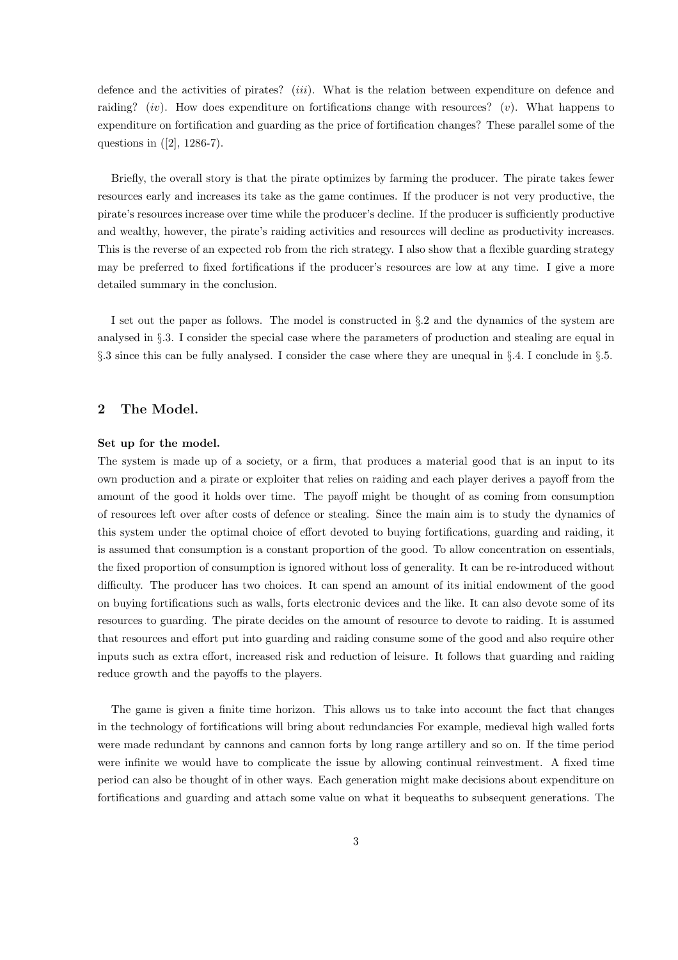defence and the activities of pirates?  $(iii)$ . What is the relation between expenditure on defence and raiding? (iv). How does expenditure on fortifications change with resources? (v). What happens to expenditure on fortification and guarding as the price of fortification changes? These parallel some of the questions in ([2], 1286-7).

Briefly, the overall story is that the pirate optimizes by farming the producer. The pirate takes fewer resources early and increases its take as the game continues. If the producer is not very productive, the pirate's resources increase over time while the producer's decline. If the producer is sufficiently productive and wealthy, however, the pirate's raiding activities and resources will decline as productivity increases. This is the reverse of an expected rob from the rich strategy. I also show that a flexible guarding strategy may be preferred to fixed fortifications if the producer's resources are low at any time. I give a more detailed summary in the conclusion.

I set out the paper as follows. The model is constructed in §.2 and the dynamics of the system are analysed in §.3. I consider the special case where the parameters of production and stealing are equal in §.3 since this can be fully analysed. I consider the case where they are unequal in §.4. I conclude in §.5.

#### 2 The Model.

#### Set up for the model.

The system is made up of a society, or a firm, that produces a material good that is an input to its own production and a pirate or exploiter that relies on raiding and each player derives a payoff from the amount of the good it holds over time. The payoff might be thought of as coming from consumption of resources left over after costs of defence or stealing. Since the main aim is to study the dynamics of this system under the optimal choice of effort devoted to buying fortifications, guarding and raiding, it is assumed that consumption is a constant proportion of the good. To allow concentration on essentials, the fixed proportion of consumption is ignored without loss of generality. It can be re-introduced without difficulty. The producer has two choices. It can spend an amount of its initial endowment of the good on buying fortifications such as walls, forts electronic devices and the like. It can also devote some of its resources to guarding. The pirate decides on the amount of resource to devote to raiding. It is assumed that resources and effort put into guarding and raiding consume some of the good and also require other inputs such as extra effort, increased risk and reduction of leisure. It follows that guarding and raiding reduce growth and the payoffs to the players.

The game is given a finite time horizon. This allows us to take into account the fact that changes in the technology of fortifications will bring about redundancies For example, medieval high walled forts were made redundant by cannons and cannon forts by long range artillery and so on. If the time period were infinite we would have to complicate the issue by allowing continual reinvestment. A fixed time period can also be thought of in other ways. Each generation might make decisions about expenditure on fortifications and guarding and attach some value on what it bequeaths to subsequent generations. The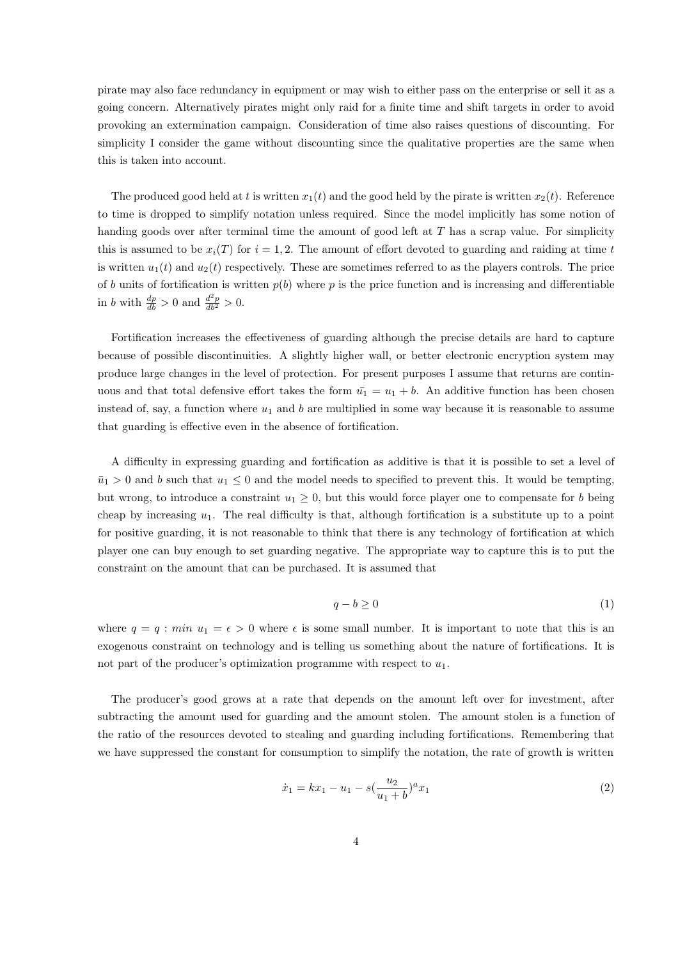pirate may also face redundancy in equipment or may wish to either pass on the enterprise or sell it as a going concern. Alternatively pirates might only raid for a finite time and shift targets in order to avoid provoking an extermination campaign. Consideration of time also raises questions of discounting. For simplicity I consider the game without discounting since the qualitative properties are the same when this is taken into account.

The produced good held at t is written  $x_1(t)$  and the good held by the pirate is written  $x_2(t)$ . Reference to time is dropped to simplify notation unless required. Since the model implicitly has some notion of handing goods over after terminal time the amount of good left at  $T$  has a scrap value. For simplicity this is assumed to be  $x_i(T)$  for  $i = 1, 2$ . The amount of effort devoted to guarding and raiding at time t is written  $u_1(t)$  and  $u_2(t)$  respectively. These are sometimes referred to as the players controls. The price of b units of fortification is written  $p(b)$  where p is the price function and is increasing and differentiable in b with  $\frac{dp}{db} > 0$  and  $\frac{d^2p}{db^2} > 0$ .

Fortification increases the effectiveness of guarding although the precise details are hard to capture because of possible discontinuities. A slightly higher wall, or better electronic encryption system may produce large changes in the level of protection. For present purposes I assume that returns are continuous and that total defensive effort takes the form  $\bar{u}_1 = u_1 + b$ . An additive function has been chosen instead of, say, a function where  $u_1$  and b are multiplied in some way because it is reasonable to assume that guarding is effective even in the absence of fortification.

A difficulty in expressing guarding and fortification as additive is that it is possible to set a level of  $\bar{u}_1 > 0$  and b such that  $u_1 \leq 0$  and the model needs to specified to prevent this. It would be tempting, but wrong, to introduce a constraint  $u_1 \geq 0$ , but this would force player one to compensate for b being cheap by increasing  $u_1$ . The real difficulty is that, although fortification is a substitute up to a point for positive guarding, it is not reasonable to think that there is any technology of fortification at which player one can buy enough to set guarding negative. The appropriate way to capture this is to put the constraint on the amount that can be purchased. It is assumed that

$$
q - b \ge 0 \tag{1}
$$

where  $q = q : min u_1 = \epsilon > 0$  where  $\epsilon$  is some small number. It is important to note that this is an exogenous constraint on technology and is telling us something about the nature of fortifications. It is not part of the producer's optimization programme with respect to  $u_1$ .

The producer's good grows at a rate that depends on the amount left over for investment, after subtracting the amount used for guarding and the amount stolen. The amount stolen is a function of the ratio of the resources devoted to stealing and guarding including fortifications. Remembering that we have suppressed the constant for consumption to simplify the notation, the rate of growth is written

$$
\dot{x}_1 = kx_1 - u_1 - s\left(\frac{u_2}{u_1 + b}\right)^a x_1\tag{2}
$$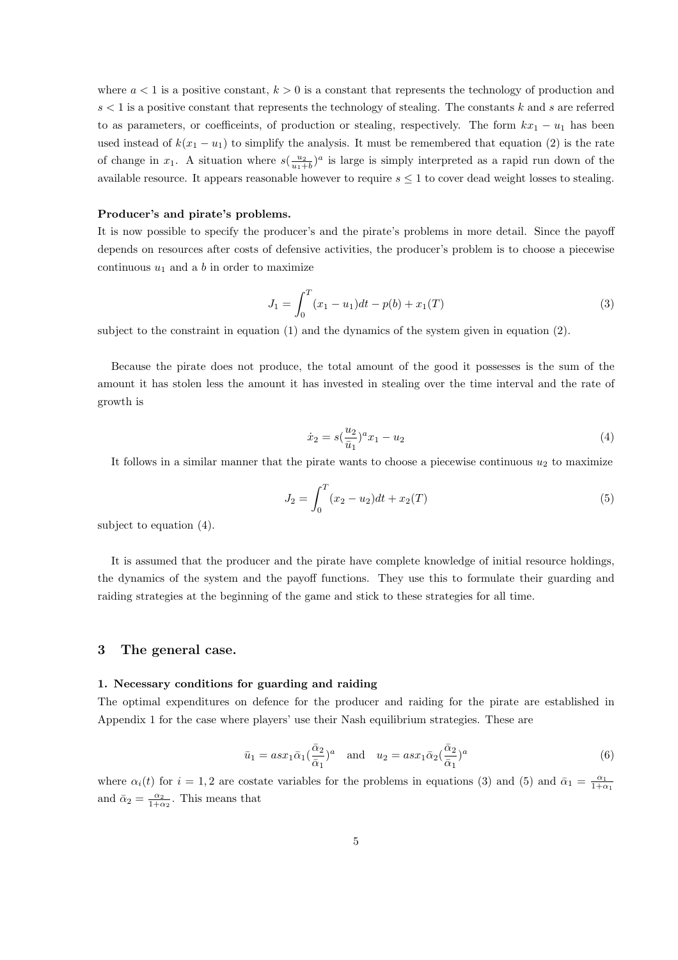where  $a < 1$  is a positive constant,  $k > 0$  is a constant that represents the technology of production and  $s < 1$  is a positive constant that represents the technology of stealing. The constants k and s are referred to as parameters, or coefficeints, of production or stealing, respectively. The form  $kx_1 - u_1$  has been used instead of  $k(x_1 - u_1)$  to simplify the analysis. It must be remembered that equation (2) is the rate of change in  $x_1$ . A situation where  $s(\frac{u_2}{u_1+b})^a$  is large is simply interpreted as a rapid run down of the available resource. It appears reasonable however to require  $s \leq 1$  to cover dead weight losses to stealing.

#### Producer's and pirate's problems.

It is now possible to specify the producer's and the pirate's problems in more detail. Since the payoff depends on resources after costs of defensive activities, the producer's problem is to choose a piecewise continuous  $u_1$  and a b in order to maximize

$$
J_1 = \int_0^T (x_1 - u_1) dt - p(b) + x_1(T)
$$
\n(3)

subject to the constraint in equation (1) and the dynamics of the system given in equation (2).

Because the pirate does not produce, the total amount of the good it possesses is the sum of the amount it has stolen less the amount it has invested in stealing over the time interval and the rate of growth is

$$
\dot{x}_2 = s(\frac{u_2}{\bar{u}_1})^a x_1 - u_2 \tag{4}
$$

It follows in a similar manner that the pirate wants to choose a piecewise continuous  $u_2$  to maximize

$$
J_2 = \int_0^T (x_2 - u_2) dt + x_2(T)
$$
\n(5)

subject to equation (4).

It is assumed that the producer and the pirate have complete knowledge of initial resource holdings, the dynamics of the system and the payoff functions. They use this to formulate their guarding and raiding strategies at the beginning of the game and stick to these strategies for all time.

#### 3 The general case.

#### 1. Necessary conditions for guarding and raiding

The optimal expenditures on defence for the producer and raiding for the pirate are established in Appendix 1 for the case where players' use their Nash equilibrium strategies. These are

$$
\bar{u}_1 = asx_1 \bar{\alpha}_1 (\frac{\bar{\alpha}_2}{\bar{\alpha}_1})^a \quad \text{and} \quad u_2 = asx_1 \bar{\alpha}_2 (\frac{\bar{\alpha}_2}{\bar{\alpha}_1})^a \tag{6}
$$

where  $\alpha_i(t)$  for  $i = 1, 2$  are costate variables for the problems in equations (3) and (5) and  $\bar{\alpha}_1 = \frac{\alpha_1}{1+\alpha_1}$ and  $\bar{\alpha}_2 = \frac{\alpha_2}{1 + \alpha_2}$ . This means that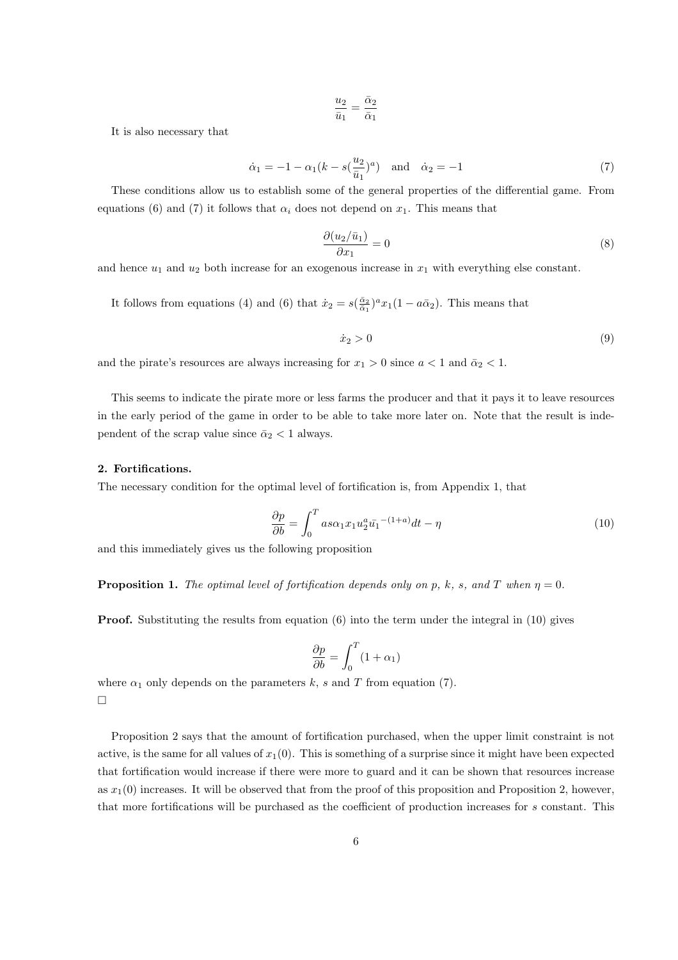$$
\frac{u_2}{\bar u_1} = \frac{\bar \alpha_2}{\bar \alpha_1}
$$

It is also necessary that

$$
\dot{\alpha}_1 = -1 - \alpha_1 (k - s(\frac{u_2}{\bar{u}_1})^a)
$$
 and  $\dot{\alpha}_2 = -1$  (7)

These conditions allow us to establish some of the general properties of the differential game. From equations (6) and (7) it follows that  $\alpha_i$  does not depend on  $x_1$ . This means that

$$
\frac{\partial (u_2/\bar{u}_1)}{\partial x_1} = 0\tag{8}
$$

and hence  $u_1$  and  $u_2$  both increase for an exogenous increase in  $x_1$  with everything else constant.

It follows from equations (4) and (6) that  $\dot{x}_2 = s(\frac{\bar{\alpha}_2}{\bar{\alpha}_1})^a x_1(1 - a\bar{\alpha}_2)$ . This means that

$$
\dot{x}_2 > 0 \tag{9}
$$

and the pirate's resources are always increasing for  $x_1 > 0$  since  $a < 1$  and  $\bar{a}_2 < 1$ .

This seems to indicate the pirate more or less farms the producer and that it pays it to leave resources in the early period of the game in order to be able to take more later on. Note that the result is independent of the scrap value since  $\bar{\alpha}_2 < 1$  always.

#### 2. Fortifications.

The necessary condition for the optimal level of fortification is, from Appendix 1, that

$$
\frac{\partial p}{\partial b} = \int_0^T a s \alpha_1 x_1 u_2^a \bar{u_1}^{-(1+a)} dt - \eta \tag{10}
$$

and this immediately gives us the following proposition

**Proposition 1.** The optimal level of fortification depends only on p, k, s, and T when  $\eta = 0$ .

**Proof.** Substituting the results from equation  $(6)$  into the term under the integral in  $(10)$  gives

$$
\frac{\partial p}{\partial b} = \int_0^T (1 + \alpha_1)
$$

where  $\alpha_1$  only depends on the parameters k, s and T from equation (7). ¤

Proposition 2 says that the amount of fortification purchased, when the upper limit constraint is not active, is the same for all values of  $x_1(0)$ . This is something of a surprise since it might have been expected that fortification would increase if there were more to guard and it can be shown that resources increase as  $x_1(0)$  increases. It will be observed that from the proof of this proposition and Proposition 2, however, that more fortifications will be purchased as the coefficient of production increases for s constant. This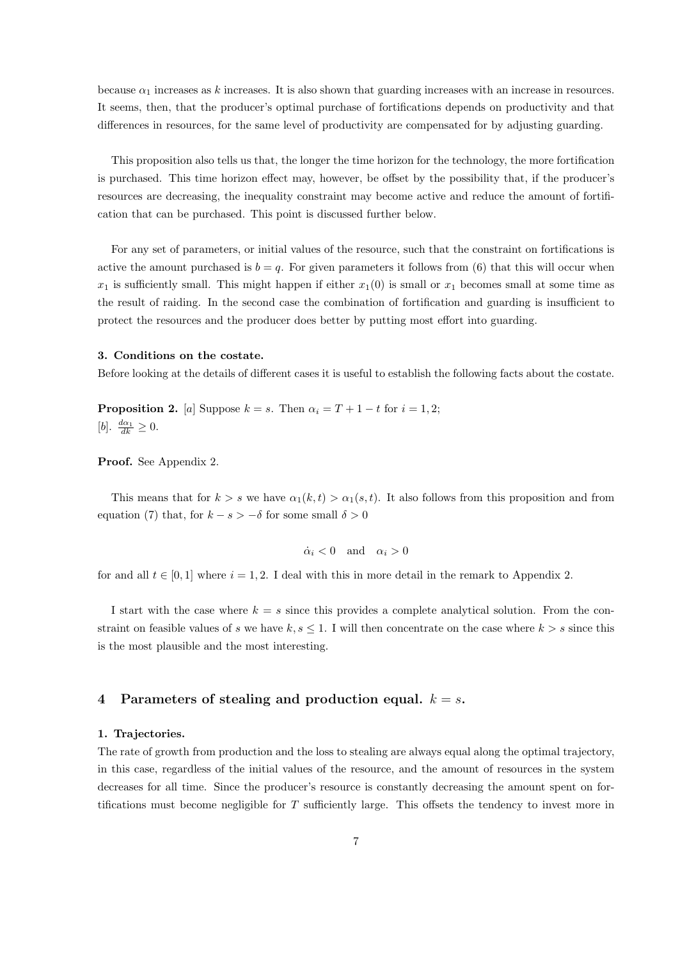because  $\alpha_1$  increases as k increases. It is also shown that guarding increases with an increase in resources. It seems, then, that the producer's optimal purchase of fortifications depends on productivity and that differences in resources, for the same level of productivity are compensated for by adjusting guarding.

This proposition also tells us that, the longer the time horizon for the technology, the more fortification is purchased. This time horizon effect may, however, be offset by the possibility that, if the producer's resources are decreasing, the inequality constraint may become active and reduce the amount of fortification that can be purchased. This point is discussed further below.

For any set of parameters, or initial values of the resource, such that the constraint on fortifications is active the amount purchased is  $b = q$ . For given parameters it follows from (6) that this will occur when  $x_1$  is sufficiently small. This might happen if either  $x_1(0)$  is small or  $x_1$  becomes small at some time as the result of raiding. In the second case the combination of fortification and guarding is insufficient to protect the resources and the producer does better by putting most effort into guarding.

#### 3. Conditions on the costate.

Before looking at the details of different cases it is useful to establish the following facts about the costate.

**Proposition 2.** [a] Suppose  $k = s$ . Then  $\alpha_i = T + 1 - t$  for  $i = 1, 2$ ; [b].  $\frac{d\alpha_1}{dk} \geq 0$ .

Proof. See Appendix 2.

This means that for  $k > s$  we have  $\alpha_1(k, t) > \alpha_1(s, t)$ . It also follows from this proposition and from equation (7) that, for  $k - s > -\delta$  for some small  $\delta > 0$ 

$$
\dot{\alpha}_i < 0 \quad \text{and} \quad \alpha_i > 0
$$

for and all  $t \in [0, 1]$  where  $i = 1, 2$ . I deal with this in more detail in the remark to Appendix 2.

I start with the case where  $k = s$  since this provides a complete analytical solution. From the constraint on feasible values of s we have  $k, s \leq 1$ . I will then concentrate on the case where  $k > s$  since this is the most plausible and the most interesting.

#### 4 Parameters of stealing and production equal.  $k = s$ .

#### 1. Trajectories.

The rate of growth from production and the loss to stealing are always equal along the optimal trajectory, in this case, regardless of the initial values of the resource, and the amount of resources in the system decreases for all time. Since the producer's resource is constantly decreasing the amount spent on fortifications must become negligible for T sufficiently large. This offsets the tendency to invest more in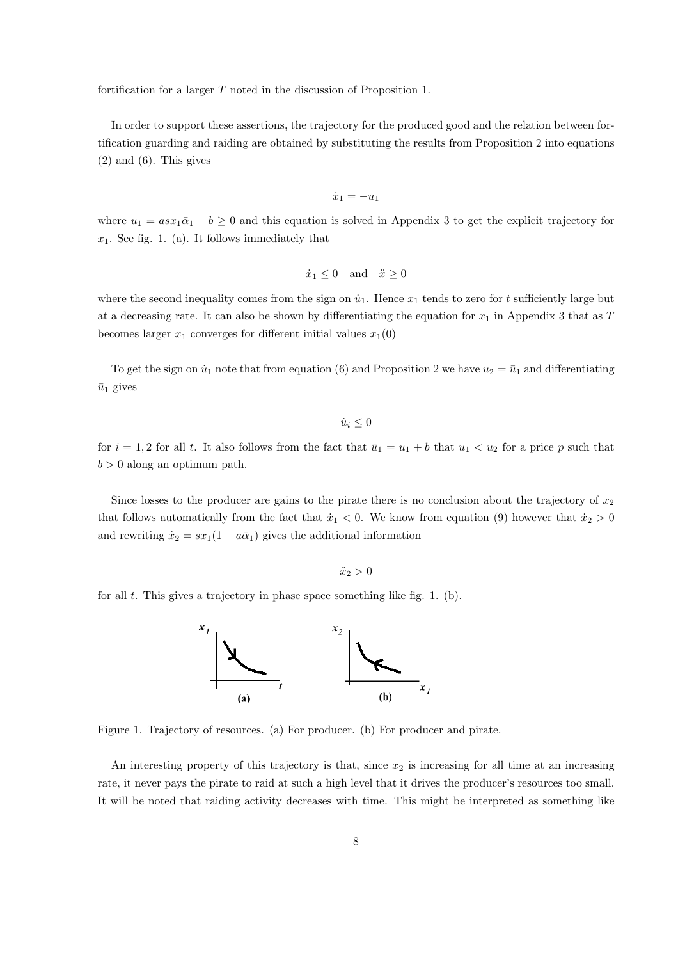fortification for a larger T noted in the discussion of Proposition 1.

In order to support these assertions, the trajectory for the produced good and the relation between fortification guarding and raiding are obtained by substituting the results from Proposition 2 into equations  $(2)$  and  $(6)$ . This gives

$$
\dot{x}_1 = -u_1
$$

where  $u_1 = asx_1\bar{\alpha}_1 - b \geq 0$  and this equation is solved in Appendix 3 to get the explicit trajectory for  $x_1$ . See fig. 1. (a). It follows immediately that

$$
\dot{x}_1 \le 0 \quad \text{and} \quad \ddot{x} \ge 0
$$

where the second inequality comes from the sign on  $\dot{u}_1$ . Hence  $x_1$  tends to zero for t sufficiently large but at a decreasing rate. It can also be shown by differentiating the equation for  $x_1$  in Appendix 3 that as T becomes larger  $x_1$  converges for different initial values  $x_1(0)$ 

To get the sign on  $\dot{u}_1$  note that from equation (6) and Proposition 2 we have  $u_2 = \bar{u}_1$  and differentiating  $\bar{u}_1$  gives

 $\dot{u}_i \leq 0$ 

for  $i = 1, 2$  for all t. It also follows from the fact that  $\overline{u}_1 = u_1 + b$  that  $u_1 < u_2$  for a price p such that  $b > 0$  along an optimum path.

Since losses to the producer are gains to the pirate there is no conclusion about the trajectory of  $x_2$ that follows automatically from the fact that  $\dot{x}_1 < 0$ . We know from equation (9) however that  $\dot{x}_2 > 0$ and rewriting  $\dot{x}_2 = sx_1(1 - a\bar{\alpha}_1)$  gives the additional information

$$
\ddot{x}_2 > 0
$$

for all  $t$ . This gives a trajectory in phase space something like fig. 1. (b).



Figure 1. Trajectory of resources. (a) For producer. (b) For producer and pirate.

An interesting property of this trajectory is that, since  $x_2$  is increasing for all time at an increasing rate, it never pays the pirate to raid at such a high level that it drives the producer's resources too small. It will be noted that raiding activity decreases with time. This might be interpreted as something like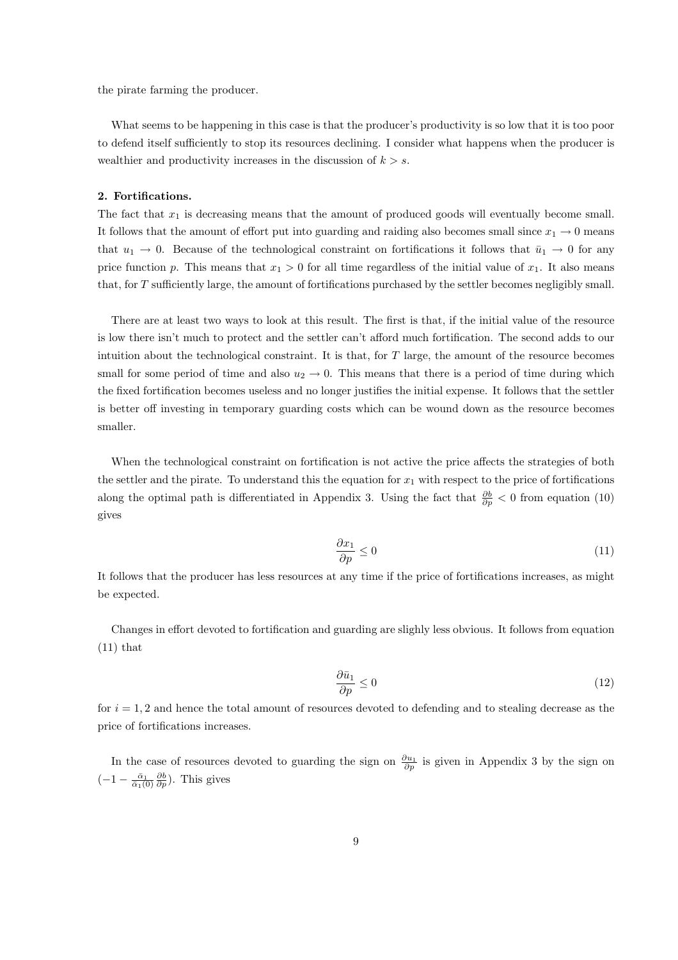the pirate farming the producer.

What seems to be happening in this case is that the producer's productivity is so low that it is too poor to defend itself sufficiently to stop its resources declining. I consider what happens when the producer is wealthier and productivity increases in the discussion of  $k > s$ .

#### 2. Fortifications.

The fact that  $x_1$  is decreasing means that the amount of produced goods will eventually become small. It follows that the amount of effort put into guarding and raiding also becomes small since  $x_1 \to 0$  means that  $u_1 \to 0$ . Because of the technological constraint on fortifications it follows that  $\bar{u}_1 \to 0$  for any price function p. This means that  $x_1 > 0$  for all time regardless of the initial value of  $x_1$ . It also means that, for T sufficiently large, the amount of fortifications purchased by the settler becomes negligibly small.

There are at least two ways to look at this result. The first is that, if the initial value of the resource is low there isn't much to protect and the settler can't afford much fortification. The second adds to our intuition about the technological constraint. It is that, for  $T$  large, the amount of the resource becomes small for some period of time and also  $u_2 \to 0$ . This means that there is a period of time during which the fixed fortification becomes useless and no longer justifies the initial expense. It follows that the settler is better off investing in temporary guarding costs which can be wound down as the resource becomes smaller.

When the technological constraint on fortification is not active the price affects the strategies of both the settler and the pirate. To understand this the equation for  $x_1$  with respect to the price of fortifications along the optimal path is differentiated in Appendix 3. Using the fact that  $\frac{\partial b}{\partial p} < 0$  from equation (10) gives

$$
\frac{\partial x_1}{\partial p} \le 0\tag{11}
$$

It follows that the producer has less resources at any time if the price of fortifications increases, as might be expected.

Changes in effort devoted to fortification and guarding are slighly less obvious. It follows from equation  $(11)$  that

$$
\frac{\partial \bar{u}_1}{\partial p} \le 0 \tag{12}
$$

for  $i = 1, 2$  and hence the total amount of resources devoted to defending and to stealing decrease as the price of fortifications increases.

In the case of resources devoted to guarding the sign on  $\frac{\partial u_1}{\partial p}$  is given in Appendix 3 by the sign on  $\left(-1-\frac{\bar{\alpha}_1}{\bar{\alpha}_1(0)}\frac{\partial b}{\partial p}\right)$ . This gives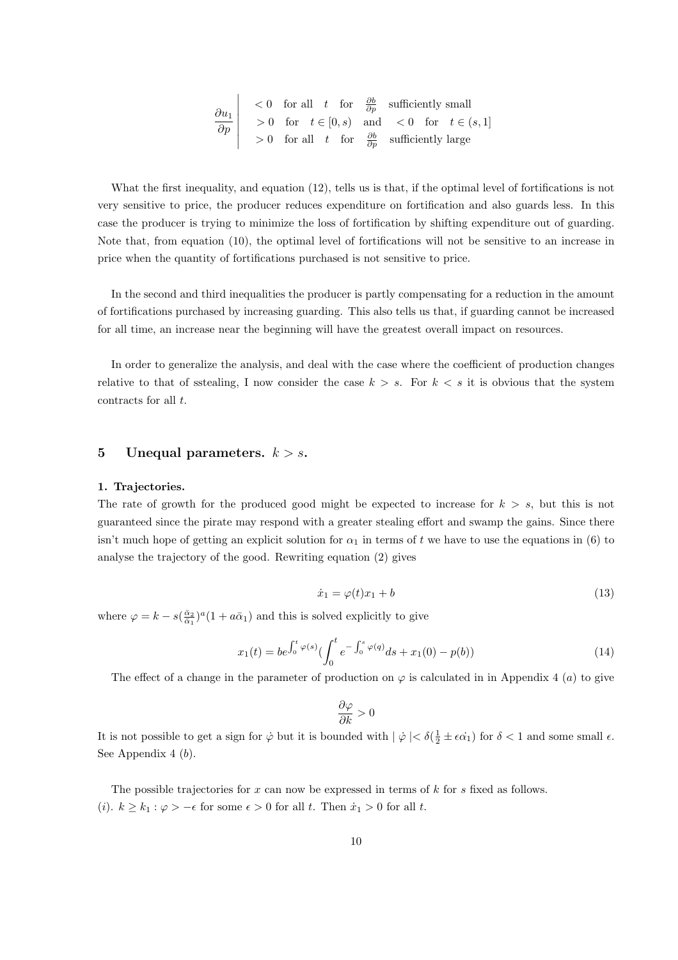$$
\begin{array}{c|c|c}\n\hline\n\frac{\partial u_1}{\partial p} < 0 & \text{for all} \quad t \quad \text{for} \quad \frac{\partial b}{\partial p} \quad \text{sufficiently small} \\
> 0 & \text{for} \quad t \in [0, s) \quad \text{and} \quad < 0 \quad \text{for} \quad t \in (s, 1] \\
> 0 & \text{for all} \quad t \quad \text{for} \quad \frac{\partial b}{\partial p} \quad \text{sufficiently large}\n\end{array}
$$

What the first inequality, and equation (12), tells us is that, if the optimal level of fortifications is not very sensitive to price, the producer reduces expenditure on fortification and also guards less. In this case the producer is trying to minimize the loss of fortification by shifting expenditure out of guarding. Note that, from equation (10), the optimal level of fortifications will not be sensitive to an increase in price when the quantity of fortifications purchased is not sensitive to price.

In the second and third inequalities the producer is partly compensating for a reduction in the amount of fortifications purchased by increasing guarding. This also tells us that, if guarding cannot be increased for all time, an increase near the beginning will have the greatest overall impact on resources.

In order to generalize the analysis, and deal with the case where the coefficient of production changes relative to that of sstealing, I now consider the case  $k > s$ . For  $k < s$  it is obvious that the system contracts for all t.

#### 5 Unequal parameters.  $k > s$ .

#### 1. Trajectories.

The rate of growth for the produced good might be expected to increase for  $k > s$ , but this is not guaranteed since the pirate may respond with a greater stealing effort and swamp the gains. Since there isn't much hope of getting an explicit solution for  $\alpha_1$  in terms of t we have to use the equations in (6) to analyse the trajectory of the good. Rewriting equation (2) gives

$$
\dot{x}_1 = \varphi(t)x_1 + b \tag{13}
$$

where  $\varphi = k - s(\frac{\bar{\alpha}_2}{\bar{\alpha}_1})^a (1 + a\bar{\alpha}_1)$  and this is solved explicitly to give

$$
x_1(t) = be^{\int_0^t \varphi(s)} \left( \int_0^t e^{-\int_0^s \varphi(q)} ds + x_1(0) - p(b) \right)
$$
\n(14)

The effect of a change in the parameter of production on  $\varphi$  is calculated in in Appendix 4 (a) to give

$$
\frac{\partial \varphi}{\partial k} > 0
$$

It is not possible to get a sign for  $\dot{\varphi}$  but it is bounded with  $|\dot{\varphi}| < \delta(\frac{1}{2} \pm \epsilon \dot{\alpha_1})$  for  $\delta < 1$  and some small  $\epsilon$ . See Appendix 4 (b).

The possible trajectories for  $x$  can now be expressed in terms of  $k$  for  $s$  fixed as follows. (i).  $k \geq k_1 : \varphi > -\epsilon$  for some  $\epsilon > 0$  for all t. Then  $\dot{x}_1 > 0$  for all t.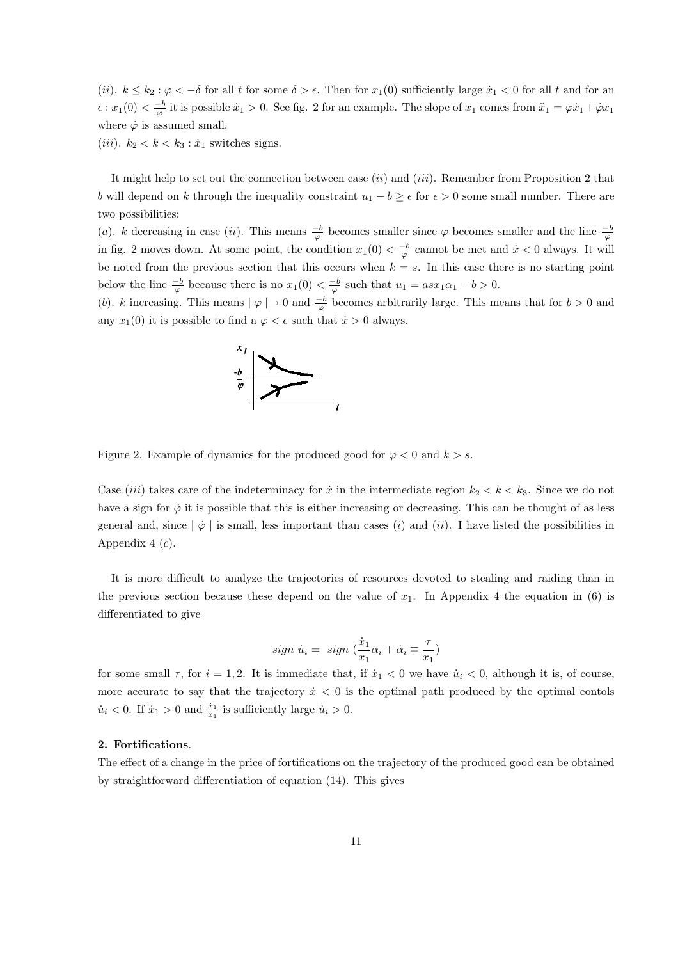(ii).  $k \leq k_2$ :  $\varphi < -\delta$  for all t for some  $\delta > \epsilon$ . Then for  $x_1(0)$  sufficiently large  $\dot{x}_1 < 0$  for all t and for an  $\epsilon: x_1(0) < \frac{-b}{\varphi}$  it is possible  $\dot{x}_1 > 0$ . See fig. 2 for an example. The slope of  $x_1$  comes from  $\ddot{x}_1 = \varphi \dot{x}_1 + \dot{\varphi} x_1$ where  $\dot{\varphi}$  is assumed small.

(*iii*).  $k_2 < k < k_3 : \dot{x}_1$  switches signs.

It might help to set out the connection between case  $(ii)$  and  $(iii)$ . Remember from Proposition 2 that b will depend on k through the inequality constraint  $u_1 - b \geq \epsilon$  for  $\epsilon > 0$  some small number. There are two possibilities:

(a). k decreasing in case (ii). This means  $\frac{-b}{\varphi}$  becomes smaller since  $\varphi$  becomes smaller and the line  $\frac{-b}{\varphi}$ in fig. 2 moves down. At some point, the condition  $x_1(0) < \frac{-b}{\varphi}$  cannot be met and  $\dot{x} < 0$  always. It will be noted from the previous section that this occurs when  $k = s$ . In this case there is no starting point below the line  $\frac{-b}{\varphi}$  because there is no  $x_1(0) < \frac{-b}{\varphi}$  such that  $u_1 = asx_1\alpha_1 - b > 0$ .

(b). k increasing. This means  $|\varphi| \to 0$  and  $\frac{-b}{\varphi}$  becomes arbitrarily large. This means that for  $b > 0$  and any  $x_1(0)$  it is possible to find a  $\varphi < \epsilon$  such that  $\dot{x} > 0$  always.



Figure 2. Example of dynamics for the produced good for  $\varphi < 0$  and  $k > s$ .

Case *(iii)* takes care of the indeterminacy for  $\dot{x}$  in the intermediate region  $k_2 < k < k_3$ . Since we do not have a sign for  $\dot{\varphi}$  it is possible that this is either increasing or decreasing. This can be thought of as less general and, since  $|\phi|$  is small, less important than cases (i) and (ii). I have listed the possibilities in Appendix  $4(c)$ .

It is more difficult to analyze the trajectories of resources devoted to stealing and raiding than in the previous section because these depend on the value of  $x_1$ . In Appendix 4 the equation in (6) is differentiated to give

$$
sign \dot{u}_i = sign \left(\frac{\dot{x}_1}{x_1}\bar{\alpha}_i + \dot{\alpha}_i \mp \frac{\tau}{x_1}\right)
$$

for some small  $\tau$ , for  $i = 1, 2$ . It is immediate that, if  $\dot{x}_1 < 0$  we have  $\dot{u}_i < 0$ , although it is, of course, more accurate to say that the trajectory  $\dot{x} < 0$  is the optimal path produced by the optimal contols  $\dot{u}_i < 0$ . If  $\dot{x}_1 > 0$  and  $\frac{\dot{x}_1}{x_1}$  is sufficiently large  $\dot{u}_i > 0$ .

#### 2. Fortifications.

The effect of a change in the price of fortifications on the trajectory of the produced good can be obtained by straightforward differentiation of equation (14). This gives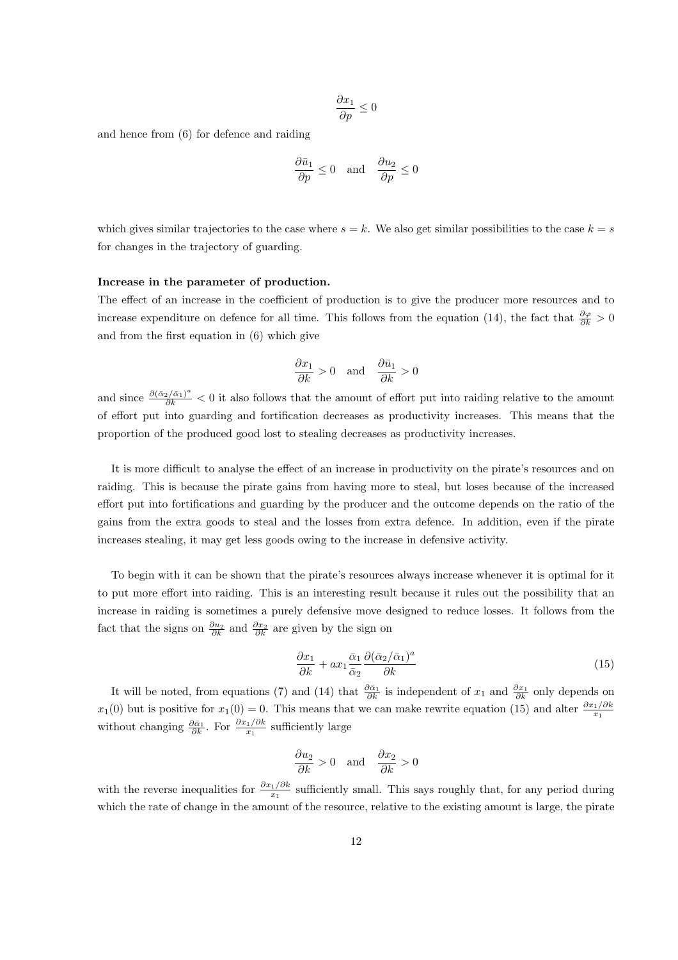$$
\frac{\partial x_1}{\partial p}\leq 0
$$

and hence from (6) for defence and raiding

$$
\frac{\partial \bar{u}_1}{\partial p} \le 0 \quad \text{and} \quad \frac{\partial u_2}{\partial p} \le 0
$$

which gives similar trajectories to the case where  $s = k$ . We also get similar possibilities to the case  $k = s$ for changes in the trajectory of guarding.

#### Increase in the parameter of production.

The effect of an increase in the coefficient of production is to give the producer more resources and to increase expenditure on defence for all time. This follows from the equation (14), the fact that  $\frac{\partial \varphi}{\partial k} > 0$ and from the first equation in (6) which give

$$
\frac{\partial x_1}{\partial k} > 0 \quad \text{and} \quad \frac{\partial \bar{u}_1}{\partial k} > 0
$$

and since  $\frac{\partial (\bar{\alpha}_2/\bar{\alpha}_1)^a}{\partial k}$  < 0 it also follows that the amount of effort put into raiding relative to the amount of effort put into guarding and fortification decreases as productivity increases. This means that the proportion of the produced good lost to stealing decreases as productivity increases.

It is more difficult to analyse the effect of an increase in productivity on the pirate's resources and on raiding. This is because the pirate gains from having more to steal, but loses because of the increased effort put into fortifications and guarding by the producer and the outcome depends on the ratio of the gains from the extra goods to steal and the losses from extra defence. In addition, even if the pirate increases stealing, it may get less goods owing to the increase in defensive activity.

To begin with it can be shown that the pirate's resources always increase whenever it is optimal for it to put more effort into raiding. This is an interesting result because it rules out the possibility that an increase in raiding is sometimes a purely defensive move designed to reduce losses. It follows from the fact that the signs on  $\frac{\partial u_2}{\partial k}$  and  $\frac{\partial x_2}{\partial k}$  are given by the sign on

$$
\frac{\partial x_1}{\partial k} + ax_1 \frac{\bar{\alpha}_1}{\bar{\alpha}_2} \frac{\partial (\bar{\alpha}_2/\bar{\alpha}_1)^a}{\partial k} \tag{15}
$$

It will be noted, from equations (7) and (14) that  $\frac{\partial \bar{\alpha}_1}{\partial k}$  is independent of  $x_1$  and  $\frac{\partial x_1}{\partial k}$  only depends on  $x_1(0)$  but is positive for  $x_1(0) = 0$ . This means that we can make rewrite equation (15) and alter  $\frac{\partial x_1/\partial k}{x_1}$ without changing  $\frac{\partial \bar{\alpha}_1}{\partial k}$ . For  $\frac{\partial x_1/\partial k}{x_1}$  sufficiently large

$$
\frac{\partial u_2}{\partial k} > 0 \quad \text{and} \quad \frac{\partial x_2}{\partial k} > 0
$$

with the reverse inequalities for  $\frac{\partial x_1/\partial k}{x_1}$  sufficiently small. This says roughly that, for any period during which the rate of change in the amount of the resource, relative to the existing amount is large, the pirate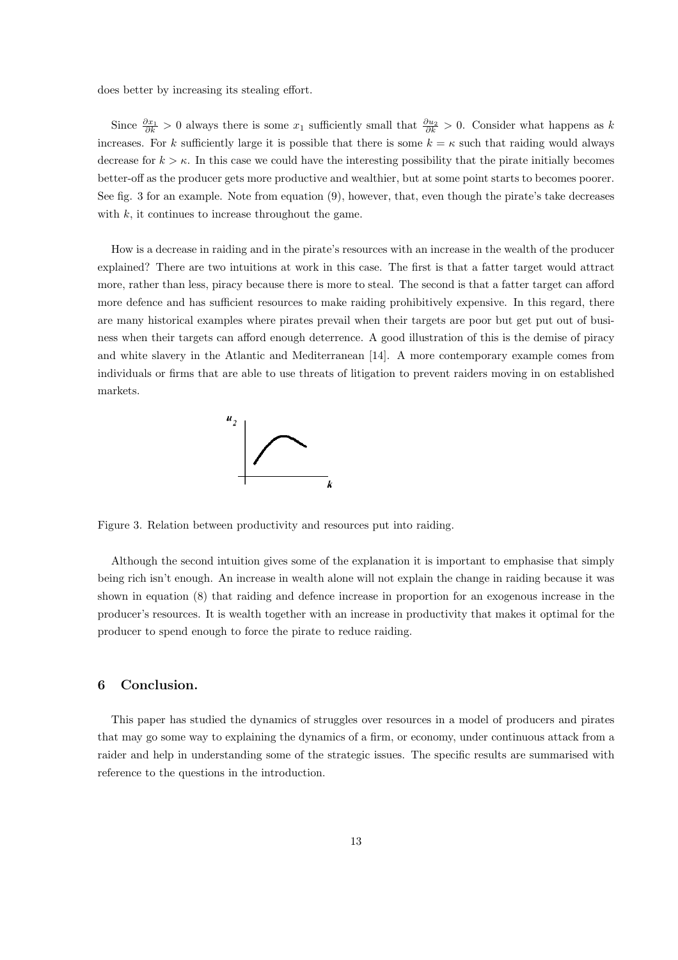does better by increasing its stealing effort.

Since  $\frac{\partial x_1}{\partial k} > 0$  always there is some  $x_1$  sufficiently small that  $\frac{\partial u_2}{\partial k} > 0$ . Consider what happens as k increases. For k sufficiently large it is possible that there is some  $k = \kappa$  such that raiding would always decrease for  $k > \kappa$ . In this case we could have the interesting possibility that the pirate initially becomes better-off as the producer gets more productive and wealthier, but at some point starts to becomes poorer. See fig. 3 for an example. Note from equation (9), however, that, even though the pirate's take decreases with  $k$ , it continues to increase throughout the game.

How is a decrease in raiding and in the pirate's resources with an increase in the wealth of the producer explained? There are two intuitions at work in this case. The first is that a fatter target would attract more, rather than less, piracy because there is more to steal. The second is that a fatter target can afford more defence and has sufficient resources to make raiding prohibitively expensive. In this regard, there are many historical examples where pirates prevail when their targets are poor but get put out of business when their targets can afford enough deterrence. A good illustration of this is the demise of piracy and white slavery in the Atlantic and Mediterranean [14]. A more contemporary example comes from individuals or firms that are able to use threats of litigation to prevent raiders moving in on established markets.



Figure 3. Relation between productivity and resources put into raiding.

Although the second intuition gives some of the explanation it is important to emphasise that simply being rich isn't enough. An increase in wealth alone will not explain the change in raiding because it was shown in equation (8) that raiding and defence increase in proportion for an exogenous increase in the producer's resources. It is wealth together with an increase in productivity that makes it optimal for the producer to spend enough to force the pirate to reduce raiding.

#### 6 Conclusion.

This paper has studied the dynamics of struggles over resources in a model of producers and pirates that may go some way to explaining the dynamics of a firm, or economy, under continuous attack from a raider and help in understanding some of the strategic issues. The specific results are summarised with reference to the questions in the introduction.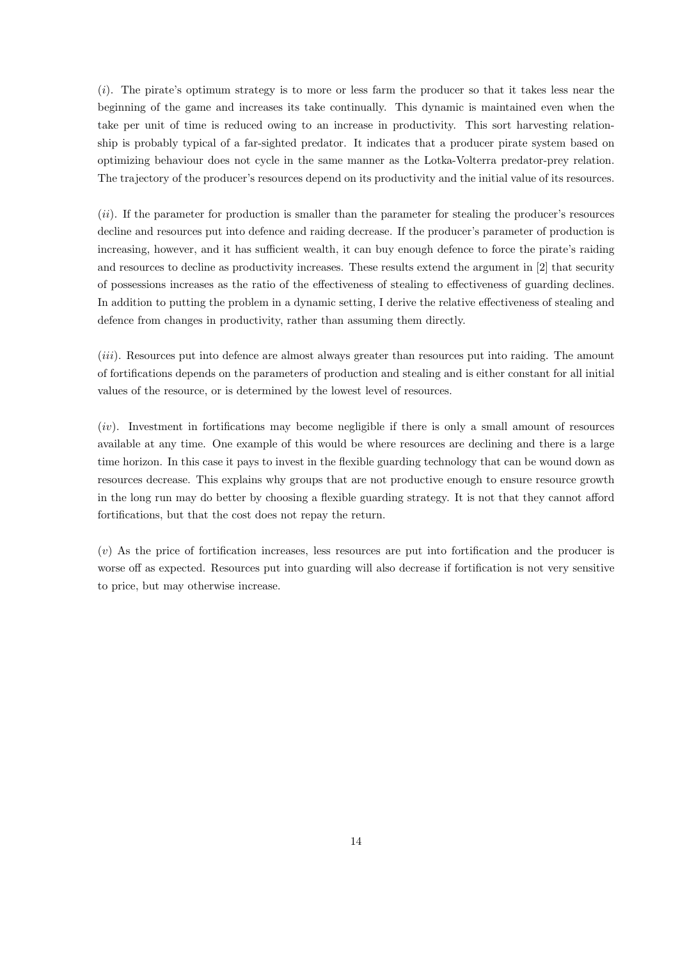$(i)$ . The pirate's optimum strategy is to more or less farm the producer so that it takes less near the beginning of the game and increases its take continually. This dynamic is maintained even when the take per unit of time is reduced owing to an increase in productivity. This sort harvesting relationship is probably typical of a far-sighted predator. It indicates that a producer pirate system based on optimizing behaviour does not cycle in the same manner as the Lotka-Volterra predator-prey relation. The trajectory of the producer's resources depend on its productivity and the initial value of its resources.

(ii). If the parameter for production is smaller than the parameter for stealing the producer's resources decline and resources put into defence and raiding decrease. If the producer's parameter of production is increasing, however, and it has sufficient wealth, it can buy enough defence to force the pirate's raiding and resources to decline as productivity increases. These results extend the argument in [2] that security of possessions increases as the ratio of the effectiveness of stealing to effectiveness of guarding declines. In addition to putting the problem in a dynamic setting, I derive the relative effectiveness of stealing and defence from changes in productivity, rather than assuming them directly.

(iii). Resources put into defence are almost always greater than resources put into raiding. The amount of fortifications depends on the parameters of production and stealing and is either constant for all initial values of the resource, or is determined by the lowest level of resources.

 $(iv)$ . Investment in fortifications may become negligible if there is only a small amount of resources available at any time. One example of this would be where resources are declining and there is a large time horizon. In this case it pays to invest in the flexible guarding technology that can be wound down as resources decrease. This explains why groups that are not productive enough to ensure resource growth in the long run may do better by choosing a flexible guarding strategy. It is not that they cannot afford fortifications, but that the cost does not repay the return.

(v) As the price of fortification increases, less resources are put into fortification and the producer is worse off as expected. Resources put into guarding will also decrease if fortification is not very sensitive to price, but may otherwise increase.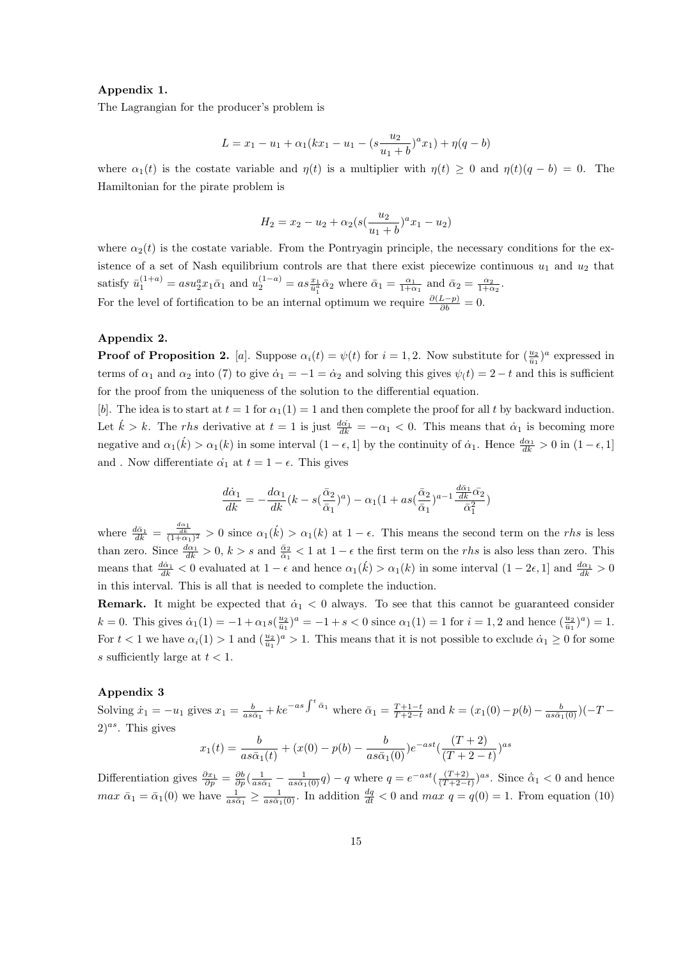#### Appendix 1.

The Lagrangian for the producer's problem is

$$
L = x_1 - u_1 + \alpha_1(kx_1 - u_1 - (s\frac{u_2}{u_1 + b})^a x_1) + \eta(q - b)
$$

where  $\alpha_1(t)$  is the costate variable and  $\eta(t)$  is a multiplier with  $\eta(t) \geq 0$  and  $\eta(t)(q - b) = 0$ . The Hamiltonian for the pirate problem is

$$
H_2 = x_2 - u_2 + \alpha_2 (s(\frac{u_2}{u_1 + b})^a x_1 - u_2)
$$

where  $\alpha_2(t)$  is the costate variable. From the Pontryagin principle, the necessary conditions for the existence of a set of Nash equilibrium controls are that there exist piecewize continuous  $u_1$  and  $u_2$  that satisfy  $\bar{u}_1^{(1+a)} = asu_2^a x_1 \bar{\alpha}_1$  and  $u_2^{(1-a)} = as\frac{x_1}{\bar{u}_1^a} \bar{\alpha}_2$  where  $\bar{\alpha}_1 = \frac{\alpha_1}{1+\alpha_1}$  and  $\bar{\alpha}_2 = \frac{\alpha_2}{1+\alpha_2}$ . For the level of fortification to be an internal optimum we require  $\frac{\partial (L-p)}{\partial b} = 0$ .

#### Appendix 2.

**Proof of Proposition 2.** [a]. Suppose  $\alpha_i(t) = \psi(t)$  for  $i = 1, 2$ . Now substitute for  $(\frac{u_2}{\bar{u}_1})^a$  expressed in terms of  $\alpha_1$  and  $\alpha_2$  into (7) to give  $\dot{\alpha}_1 = -1 = \dot{\alpha}_2$  and solving this gives  $\psi(t) = 2 - t$  and this is sufficient for the proof from the uniqueness of the solution to the differential equation.

[b]. The idea is to start at  $t = 1$  for  $\alpha_1(1) = 1$  and then complete the proof for all t by backward induction. Let  $\hat{k} > k$ . The rhs derivative at  $t = 1$  is just  $\frac{d\hat{\alpha}_1}{dk} = -\alpha_1 < 0$ . This means that  $\dot{\alpha}_1$  is becoming more negative and  $\alpha_1(\vec{k}) > \alpha_1(k)$  in some interval  $(1 - \epsilon, 1]$  by the continuity of  $\dot{\alpha}_1$ . Hence  $\frac{d\alpha_1}{dk} > 0$  in  $(1 - \epsilon, 1]$ and . Now differentiate  $\dot{\alpha_1}$  at  $t = 1 - \epsilon$ . This gives

$$
\frac{d\dot{\alpha}_1}{dk} = -\frac{d\alpha_1}{dk}(k - s(\frac{\bar{\alpha}_2}{\bar{\alpha}_1})^a) - \alpha_1(1 + as(\frac{\bar{\alpha}_2}{\bar{\alpha}_1})^{a-1}\frac{\frac{d\bar{\alpha}_1}{dk}\bar{\alpha}_2}{\bar{\alpha}_1^2})
$$

where  $\frac{d\alpha_1}{dk} = \frac{\frac{d\alpha_1}{dk}}{(1+\alpha_1)^2} > 0$  since  $\alpha_1(k) > \alpha_1(k)$  at  $1-\epsilon$ . This means the second term on the *rhs* is less than zero. Since  $\frac{d\alpha_1}{dk} > 0$ ,  $k > s$  and  $\frac{\bar{\alpha}_2}{\bar{\alpha}_1} < 1$  at  $1 - \epsilon$  the first term on the *rhs* is also less than zero. This means that  $\frac{d\dot{\alpha}_1}{dk} < 0$  evaluated at  $1 - \epsilon$  and hence  $\alpha_1(\vec{k}) > \alpha_1(k)$  in some interval  $(1 - 2\epsilon, 1]$  and  $\frac{d\alpha_1}{dk} > 0$ in this interval. This is all that is needed to complete the induction.

**Remark.** It might be expected that  $\dot{\alpha}_1 < 0$  always. To see that this cannot be guaranteed consider  $k = 0$ . This gives  $\dot{\alpha}_1(1) = -1 + \alpha_1 s(\frac{u_2}{\bar{u}_1})^a = -1 + s < 0$  since  $\alpha_1(1) = 1$  for  $i = 1, 2$  and hence  $(\frac{u_2}{\bar{u}_1})^a = 1$ . For  $t < 1$  we have  $\alpha_i(1) > 1$  and  $(\frac{u_2}{\tilde{u}_1})^a > 1$ . This means that it is not possible to exclude  $\alpha_1 \geq 0$  for some s sufficiently large at  $t < 1$ .

#### Appendix 3

Solving  $\dot{x}_1 = -u_1$  gives  $x_1 = \frac{b}{as\bar{\alpha}_1} + ke^{-as\int^t \bar{\alpha}_1}$  where  $\bar{\alpha}_1 = \frac{T+1-t}{T+2-t}$  and  $k = (x_1(0) - p(b) - \frac{b}{as\bar{\alpha}_1(0)})(-T (2)^{as}$ . This gives  $(T + 2)$ 

$$
x_1(t) = \frac{b}{as\bar{\alpha}_1(t)} + (x(0) - p(b) - \frac{b}{as\bar{\alpha}_1(0)})e^{-ast}(\frac{(T+2)}{(T+2-t)})^{as}
$$

Differentiation gives  $\frac{\partial x_1}{\partial p} = \frac{\partial b}{\partial p} \left( \frac{1}{as\bar{\alpha}_1} - \frac{1}{as\bar{\alpha}_1(0)} q \right) - q$  where  $q = e^{-ast} \left( \frac{(T+2)}{(T+2-t)} \right)^{as}$ . Since  $\dot{\bar{\alpha}}_1 < 0$  and hence  $max \ \bar{\alpha}_1 = \bar{\alpha}_1(0)$  we have  $\frac{1}{as\bar{\alpha}_1} \ge \frac{1}{as\bar{\alpha}_1(0)}$ . In addition  $\frac{dq}{dt} < 0$  and  $max \ q = q(0) = 1$ . From equation (10)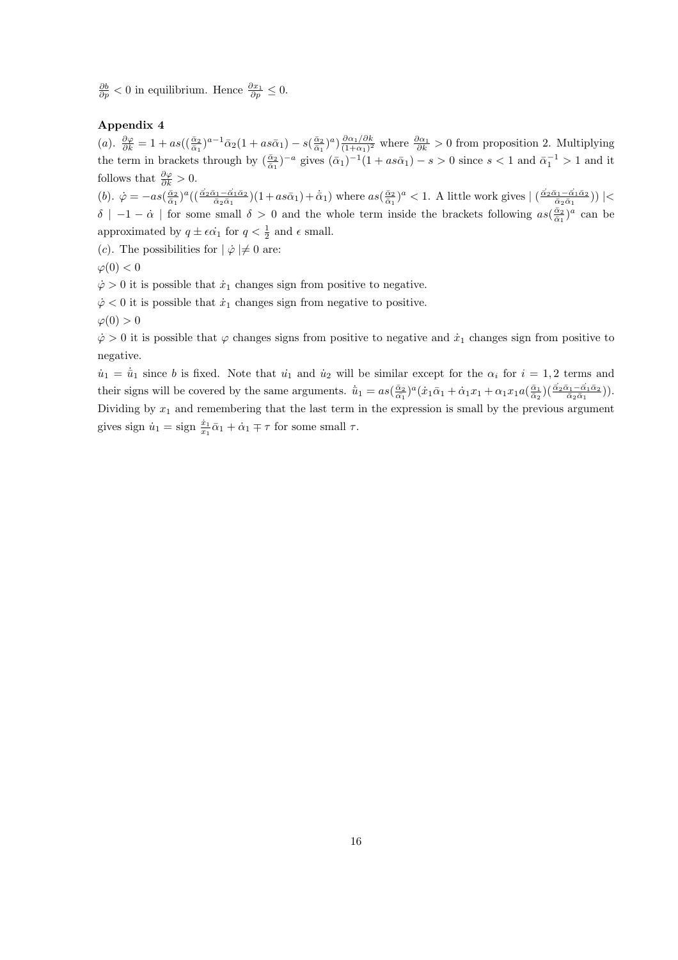$\frac{\partial b}{\partial p} < 0$  in equilibrium. Hence  $\frac{\partial x_1}{\partial p} \leq 0$ .

#### Appendix 4

(a).  $\frac{\partial \varphi}{\partial k} = 1 + as\left((\frac{\bar{\alpha}_2}{\bar{\alpha}_1})^{a-1}\bar{\alpha}_2(1 + as\bar{\alpha}_1) - s\left(\frac{\bar{\alpha}_2}{\bar{\alpha}_1}\right)^a\right)\frac{\partial \alpha_1/\partial k}{(1 + \alpha_1)^2}$  $\frac{\partial \alpha_1/\partial k}{(1+\alpha_1)^2}$  where  $\frac{\partial \alpha_1}{\partial k} > 0$  from proposition 2. Multiplying the term in brackets through by  $(\frac{\bar{\alpha}_2}{\bar{\alpha}_1})^{-a}$  gives  $(\bar{\alpha}_1)^{-1}(1 + as\bar{\alpha}_1) - s > 0$  since  $s < 1$  and  $\bar{\alpha}_1^{-1} > 1$  and it follows that  $\frac{\partial \varphi}{\partial k} > 0$ .

(b).  $\dot{\varphi} = -as(\frac{\bar{\alpha}_2}{\bar{\alpha}_1})^a((\frac{\bar{\alpha}_2\bar{\alpha}_1-\bar{\alpha}_1\bar{\alpha}_2}{\bar{\alpha}_2\bar{\alpha}_1})(1+as\bar{\alpha}_1)+\dot{\bar{\alpha}}_1)$  where  $as(\frac{\bar{\alpha}_2}{\bar{\alpha}_1})^a < 1$ . A little work gives  $|\left(\frac{\bar{\alpha}_2\bar{\alpha}_1-\bar{\alpha}_1\bar{\alpha}_2}{\bar{\alpha}_2\bar{\alpha}_1}\right)| <$  $\delta$  | −1 –  $\dot{\alpha}$  | for some small  $\delta > 0$  and the whole term inside the brackets following  $as(\frac{\bar{\alpha}_2}{\bar{\alpha}_1})^a$  can be approximated by  $q \pm \epsilon \dot{\alpha_1}$  for  $q < \frac{1}{2}$  and  $\epsilon$  small.

(c). The possibilities for  $|\phi| \neq 0$  are:

$$
\varphi(0) < 0
$$

 $\dot{\varphi} > 0$  it is possible that  $\dot{x}_1$  changes sign from positive to negative.

 $\dot{\varphi}$  < 0 it is possible that  $\dot{x}_1$  changes sign from negative to positive.

 $\varphi(0) > 0$ 

 $\dot{\varphi} > 0$  it is possible that  $\varphi$  changes signs from positive to negative and  $\dot{x}_1$  changes sign from positive to negative.

 $u_1 = \bar{u}_1$  since b is fixed. Note that  $u_1$  and  $u_2$  will be similar except for the  $\alpha_i$  for  $i = 1, 2$  terms and their signs will be covered by the same arguments.  $\dot{\bar{u}}_1 = as(\frac{\bar{\alpha}_2}{\bar{\alpha}_1})^a(\dot{x}_1\bar{\alpha}_1 + \dot{\alpha}_1x_1 + \alpha_1x_1a(\frac{\bar{\alpha}_1}{\bar{\alpha}_2})(\frac{\vec{\alpha}_2\bar{\alpha}_1 - \vec{\alpha}_1\bar{\alpha}_2}{\bar{\alpha}_2\bar{\alpha}_1})$ . Dividing by  $x_1$  and remembering that the last term in the expression is small by the previous argument gives sign  $\dot{u}_1 = \text{sign} \frac{\dot{x}_1}{x_1} \bar{\alpha}_1 + \dot{\alpha}_1 \mp \tau$  for some small  $\tau$ .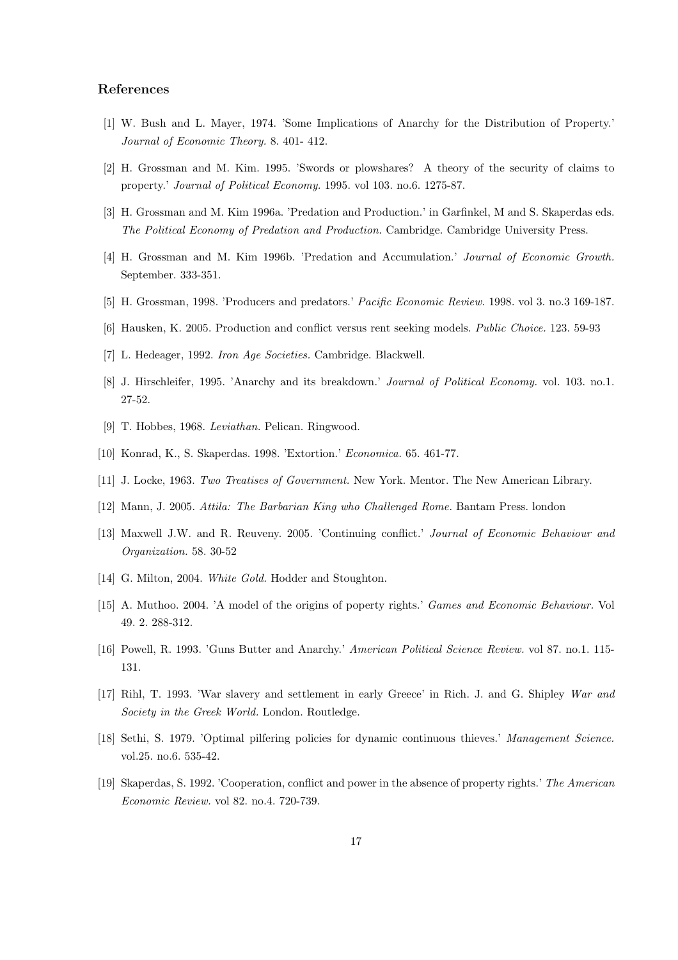#### References

- [1] W. Bush and L. Mayer, 1974. 'Some Implications of Anarchy for the Distribution of Property.' Journal of Economic Theory. 8. 401- 412.
- [2] H. Grossman and M. Kim. 1995. 'Swords or plowshares? A theory of the security of claims to property.' Journal of Political Economy. 1995. vol 103. no.6. 1275-87.
- [3] H. Grossman and M. Kim 1996a. 'Predation and Production.' in Garfinkel, M and S. Skaperdas eds. The Political Economy of Predation and Production. Cambridge. Cambridge University Press.
- [4] H. Grossman and M. Kim 1996b. 'Predation and Accumulation.' Journal of Economic Growth. September. 333-351.
- [5] H. Grossman, 1998. 'Producers and predators.' Pacific Economic Review. 1998. vol 3. no.3 169-187.
- [6] Hausken, K. 2005. Production and conflict versus rent seeking models. Public Choice. 123. 59-93
- [7] L. Hedeager, 1992. Iron Age Societies. Cambridge. Blackwell.
- [8] J. Hirschleifer, 1995. 'Anarchy and its breakdown.' Journal of Political Economy. vol. 103. no.1. 27-52.
- [9] T. Hobbes, 1968. Leviathan. Pelican. Ringwood.
- [10] Konrad, K., S. Skaperdas. 1998. 'Extortion.' Economica. 65. 461-77.
- [11] J. Locke, 1963. Two Treatises of Government. New York. Mentor. The New American Library.
- [12] Mann, J. 2005. Attila: The Barbarian King who Challenged Rome. Bantam Press. london
- [13] Maxwell J.W. and R. Reuveny. 2005. 'Continuing conflict.' Journal of Economic Behaviour and Organization. 58. 30-52
- [14] G. Milton, 2004. White Gold. Hodder and Stoughton.
- [15] A. Muthoo. 2004. 'A model of the origins of poperty rights.' Games and Economic Behaviour. Vol 49. 2. 288-312.
- [16] Powell, R. 1993. 'Guns Butter and Anarchy.' American Political Science Review. vol 87. no.1. 115- 131.
- [17] Rihl, T. 1993. 'War slavery and settlement in early Greece' in Rich. J. and G. Shipley War and Society in the Greek World. London. Routledge.
- [18] Sethi, S. 1979. 'Optimal pilfering policies for dynamic continuous thieves.' Management Science. vol.25. no.6. 535-42.
- [19] Skaperdas, S. 1992. 'Cooperation, conflict and power in the absence of property rights.' The American Economic Review. vol 82. no.4. 720-739.